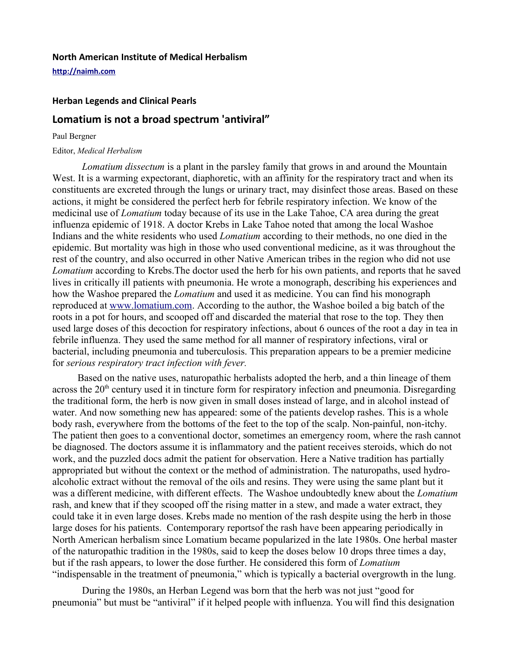## **North American Institute of Medical Herbalism**

**[http://naimh.com](http://naimh.com/)**

## **Herban Legends and Clinical Pearls**

## **Lomatium is not a broad spectrum 'antiviral"**

#### Paul Bergner

#### Editor, *Medical Herbalism*

*Lomatium dissectum* is a plant in the parsley family that grows in and around the Mountain West. It is a warming expectorant, diaphoretic, with an affinity for the respiratory tract and when its constituents are excreted through the lungs or urinary tract, may disinfect those areas. Based on these actions, it might be considered the perfect herb for febrile respiratory infection. We know of the medicinal use of *Lomatium* today because of its use in the Lake Tahoe, CA area during the great influenza epidemic of 1918. A doctor Krebs in Lake Tahoe noted that among the local Washoe Indians and the white residents who used *Lomatium* according to their methods, no one died in the epidemic. But mortality was high in those who used conventional medicine, as it was throughout the rest of the country, and also occurred in other Native American tribes in the region who did not use *Lomatium* according to Krebs.The doctor used the herb for his own patients, and reports that he saved lives in critically ill patients with pneumonia. He wrote a monograph, describing his experiences and how the Washoe prepared the *Lomatium* and used it as medicine. You can find his monograph reproduced at [www.lomatium.com.](http://www.lomatium.com/) According to the author, the Washoe boiled a big batch of the roots in a pot for hours, and scooped off and discarded the material that rose to the top. They then used large doses of this decoction for respiratory infections, about 6 ounces of the root a day in tea in febrile influenza. They used the same method for all manner of respiratory infections, viral or bacterial, including pneumonia and tuberculosis. This preparation appears to be a premier medicine for *serious respiratory tract infection with fever.* 

Based on the native uses, naturopathic herbalists adopted the herb, and a thin lineage of them across the  $20<sup>th</sup>$  century used it in tincture form for respiratory infection and pneumonia. Disregarding the traditional form, the herb is now given in small doses instead of large, and in alcohol instead of water. And now something new has appeared: some of the patients develop rashes. This is a whole body rash, everywhere from the bottoms of the feet to the top of the scalp. Non-painful, non-itchy. The patient then goes to a conventional doctor, sometimes an emergency room, where the rash cannot be diagnosed. The doctors assume it is inflammatory and the patient receives steroids, which do not work, and the puzzled docs admit the patient for observation. Here a Native tradition has partially appropriated but without the context or the method of administration. The naturopaths, used hydroalcoholic extract without the removal of the oils and resins. They were using the same plant but it was a different medicine, with different effects. The Washoe undoubtedly knew about the *Lomatium* rash, and knew that if they scooped off the rising matter in a stew, and made a water extract, they could take it in even large doses. Krebs made no mention of the rash despite using the herb in those large doses for his patients. Contemporary reportsof the rash have been appearing periodically in North American herbalism since Lomatium became popularized in the late 1980s. One herbal master of the naturopathic tradition in the 1980s, said to keep the doses below 10 drops three times a day, but if the rash appears, to lower the dose further. He considered this form of *Lomatium* "indispensable in the treatment of pneumonia," which is typically a bacterial overgrowth in the lung.

During the 1980s, an Herban Legend was born that the herb was not just "good for pneumonia" but must be "antiviral" if it helped people with influenza. You will find this designation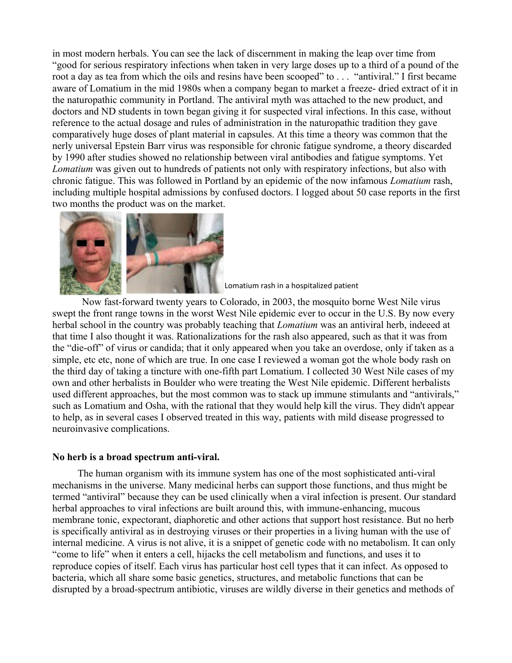in most modern herbals. You can see the lack of discernment in making the leap over time from "good for serious respiratory infections when taken in very large doses up to a third of a pound of the root a day as tea from which the oils and resins have been scooped" to . . . "antiviral." I first became aware of Lomatium in the mid 1980s when a company began to market a freeze- dried extract of it in the naturopathic community in Portland. The antiviral myth was attached to the new product, and doctors and ND students in town began giving it for suspected viral infections. In this case, without reference to the actual dosage and rules of administration in the naturopathic tradition they gave comparatively huge doses of plant material in capsules. At this time a theory was common that the nerly universal Epstein Barr virus was responsible for chronic fatigue syndrome, a theory discarded by 1990 after studies showed no relationship between viral antibodies and fatigue symptoms. Yet *Lomatium* was given out to hundreds of patients not only with respiratory infections, but also with chronic fatigue. This was followed in Portland by an epidemic of the now infamous *Lomatium* rash, including multiple hospital admissions by confused doctors. I logged about 50 case reports in the first two months the product was on the market.



Lomatium rash in a hospitalized patient

Now fast-forward twenty years to Colorado, in 2003, the mosquito borne West Nile virus swept the front range towns in the worst West Nile epidemic ever to occur in the U.S. By now every herbal school in the country was probably teaching that *Lomatium* was an antiviral herb, indeeed at that time I also thought it was. Rationalizations for the rash also appeared, such as that it was from the "die-off" of virus or candida; that it only appeared when you take an overdose, only if taken as a simple, etc etc, none of which are true. In one case I reviewed a woman got the whole body rash on the third day of taking a tincture with one-fifth part Lomatium. I collected 30 West Nile cases of my own and other herbalists in Boulder who were treating the West Nile epidemic. Different herbalists used different approaches, but the most common was to stack up immune stimulants and "antivirals," such as Lomatium and Osha, with the rational that they would help kill the virus. They didn't appear to help, as in several cases I observed treated in this way, patients with mild disease progressed to neuroinvasive complications.

### **No herb is a broad spectrum anti-viral.**

The human organism with its immune system has one of the most sophisticated anti-viral mechanisms in the universe. Many medicinal herbs can support those functions, and thus might be termed "antiviral" because they can be used clinically when a viral infection is present. Our standard herbal approaches to viral infections are built around this, with immune-enhancing, mucous membrane tonic, expectorant, diaphoretic and other actions that support host resistance. But no herb is specifically antiviral as in destroying viruses or their properties in a living human with the use of internal medicine. A virus is not alive, it is a snippet of genetic code with no metabolism. It can only "come to life" when it enters a cell, hijacks the cell metabolism and functions, and uses it to reproduce copies of itself. Each virus has particular host cell types that it can infect. As opposed to bacteria, which all share some basic genetics, structures, and metabolic functions that can be disrupted by a broad-spectrum antibiotic, viruses are wildly diverse in their genetics and methods of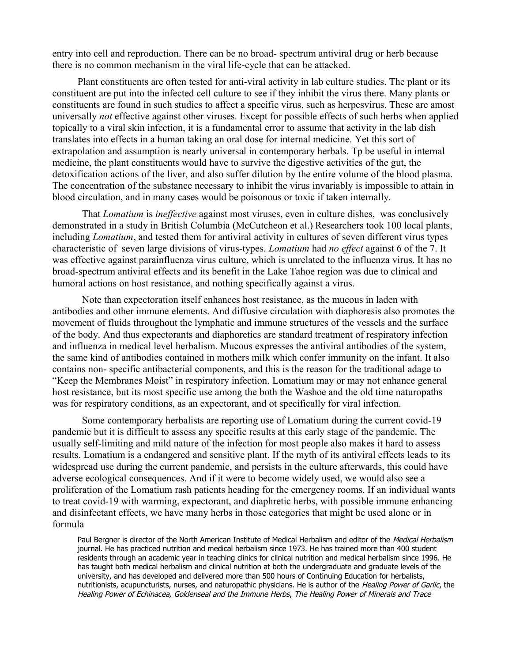entry into cell and reproduction. There can be no broad- spectrum antiviral drug or herb because there is no common mechanism in the viral life-cycle that can be attacked.

Plant constituents are often tested for anti-viral activity in lab culture studies. The plant or its constituent are put into the infected cell culture to see if they inhibit the virus there. Many plants or constituents are found in such studies to affect a specific virus, such as herpesvirus. These are amost universally *not* effective against other viruses. Except for possible effects of such herbs when applied topically to a viral skin infection, it is a fundamental error to assume that activity in the lab dish translates into effects in a human taking an oral dose for internal medicine. Yet this sort of extrapolation and assumption is nearly universal in contemporary herbals. Tp be useful in internal medicine, the plant constituents would have to survive the digestive activities of the gut, the detoxification actions of the liver, and also suffer dilution by the entire volume of the blood plasma. The concentration of the substance necessary to inhibit the virus invariably is impossible to attain in blood circulation, and in many cases would be poisonous or toxic if taken internally.

That *Lomatium* is *ineffective* against most viruses, even in culture dishes, was conclusively demonstrated in a study in British Columbia (McCutcheon et al.) Researchers took 100 local plants, including *Lomatium*, and tested them for antiviral activity in cultures of seven different virus types characteristic of seven large divisions of virus-types. *Lomatium* had *no effect* against 6 of the 7. It was effective against parainfluenza virus culture, which is unrelated to the influenza virus. It has no broad-spectrum antiviral effects and its benefit in the Lake Tahoe region was due to clinical and humoral actions on host resistance, and nothing specifically against a virus.

Note than expectoration itself enhances host resistance, as the mucous in laden with antibodies and other immune elements. And diffusive circulation with diaphoresis also promotes the movement of fluids throughout the lymphatic and immune structures of the vessels and the surface of the body. And thus expectorants and diaphoretics are standard treatment of respiratory infection and influenza in medical level herbalism. Mucous expresses the antiviral antibodies of the system, the same kind of antibodies contained in mothers milk which confer immunity on the infant. It also contains non- specific antibacterial components, and this is the reason for the traditional adage to "Keep the Membranes Moist" in respiratory infection. Lomatium may or may not enhance general host resistance, but its most specific use among the both the Washoe and the old time naturopaths was for respiratory conditions, as an expectorant, and ot specifically for viral infection.

Some contemporary herbalists are reporting use of Lomatium during the current covid-19 pandemic but it is difficult to assess any specific results at this early stage of the pandemic. The usually self-limiting and mild nature of the infection for most people also makes it hard to assess results. Lomatium is a endangered and sensitive plant. If the myth of its antiviral effects leads to its widespread use during the current pandemic, and persists in the culture afterwards, this could have adverse ecological consequences. And if it were to become widely used, we would also see a proliferation of the Lomatium rash patients heading for the emergency rooms. If an individual wants to treat covid-19 with warming, expectorant, and diaphretic herbs, with possible immune enhancing and disinfectant effects, we have many herbs in those categories that might be used alone or in formula

Paul Bergner is director of the North American Institute of Medical Herbalism and editor of the Medical Herbalism journal. He has practiced nutrition and medical herbalism since 1973. He has trained more than 400 student residents through an academic year in teaching clinics for clinical nutrition and medical herbalism since 1996. He has taught both medical herbalism and clinical nutrition at both the undergraduate and graduate levels of the university, and has developed and delivered more than 500 hours of Continuing Education for herbalists, nutritionists, acupuncturists, nurses, and naturopathic physicians. He is author of the Healing Power of Garlic, the Healing Power of Echinacea, Goldenseal and the Immune Herbs, The Healing Power of Minerals and Trace